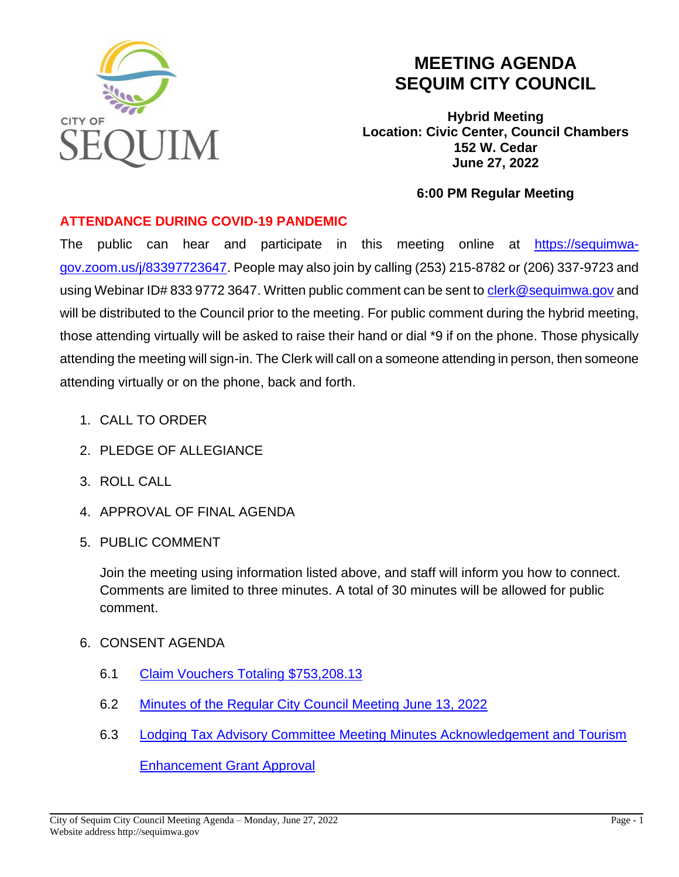

## **MEETING AGENDA SEQUIM CITY COUNCIL**

**Hybrid Meeting Location: Civic Center, Council Chambers 152 W. Cedar June 27, 2022**

## **6:00 PM Regular Meeting**

## **ATTENDANCE DURING COVID-19 PANDEMIC**

The public can hear and participate in this meeting online at [https://sequimwa](https://sequimwa-gov.zoom.us/j/83397723647)[gov.zoom.us/j/83397723647.](https://sequimwa-gov.zoom.us/j/83397723647) People may also join by calling (253) 215-8782 or (206) 337-9723 and using Webinar ID# 833 9772 3647. Written public comment can be sent to [clerk@sequimwa.gov](mailto:clerk@sequimwa.gov) and will be distributed to the Council prior to the meeting. For public comment during the hybrid meeting, those attending virtually will be asked to raise their hand or dial \*9 if on the phone. Those physically attending the meeting will sign-in. The Clerk will call on a someone attending in person, then someone attending virtually or on the phone, back and forth.

- 1. CALL TO ORDER
- 2. PLEDGE OF ALLEGIANCE
- 3. ROLL CALL
- 4. APPROVAL OF FINAL AGENDA
- 5. PUBLIC COMMENT

Join the meeting using information listed above, and staff will inform you how to connect. Comments are limited to three minutes. A total of 30 minutes will be allowed for public comment.

- 6. CONSENT AGENDA
	- 6.1 [Claim Vouchers Totaling \\$753,208.13](https://sequimwa.gov/DocumentCenter/View/20103/61-Claim-Voucher-062722)
	- 6.2 Minutes of the [Regular City Council Meeting June 13, 2022](https://sequimwa.gov/DocumentCenter/View/20104/62-2022-06-13_Minutes_DRAFT)
	- 6.3 [Lodging Tax Advisory Committee Meeting Minutes Acknowledgement and Tourism](https://sequimwa.gov/DocumentCenter/View/20156/63-LTAC-Meeting-Minutes-and-Grants-06152022-Cvr)

[Enhancement Grant Approval](https://sequimwa.gov/DocumentCenter/View/20156/63-LTAC-Meeting-Minutes-and-Grants-06152022-Cvr)